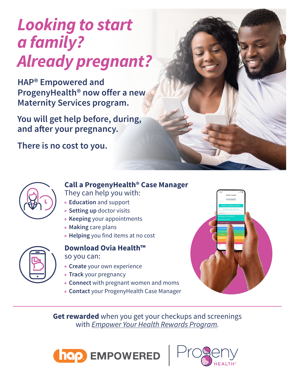# *Looking to start a family? Already pregnant?*

**HAP® Empowered and ProgenyHealth® now offer a new Maternity Services program.** 

**You will get help before, during,**  and after your pregnancy.

**There is no cost to you.** 



### **Call a ProgenyHealth® Case Manager**

They can help you with:

- **Education** and support
- **Setting up** doctor visits
- **Keeping** your appointments
- **Making** care plans
- **Helping** you find items at no cost



#### **Download Ovia Health™**  so you can:

- **Create** your own experience
- **Track** your pregnancy
- **Connect** with pregnant women and moms
- **Contact** your ProgenyHealth Case Manager



**Get rewarded** when you get your checkups and screenings with *[Empower Your Health Rewards Program.](https://www.hap.org/-/media/files/hap/empower-your-health-rewards-program.pdf?la=en&hash=11FD74484911ABBD51BBC8A72DCEC213)*